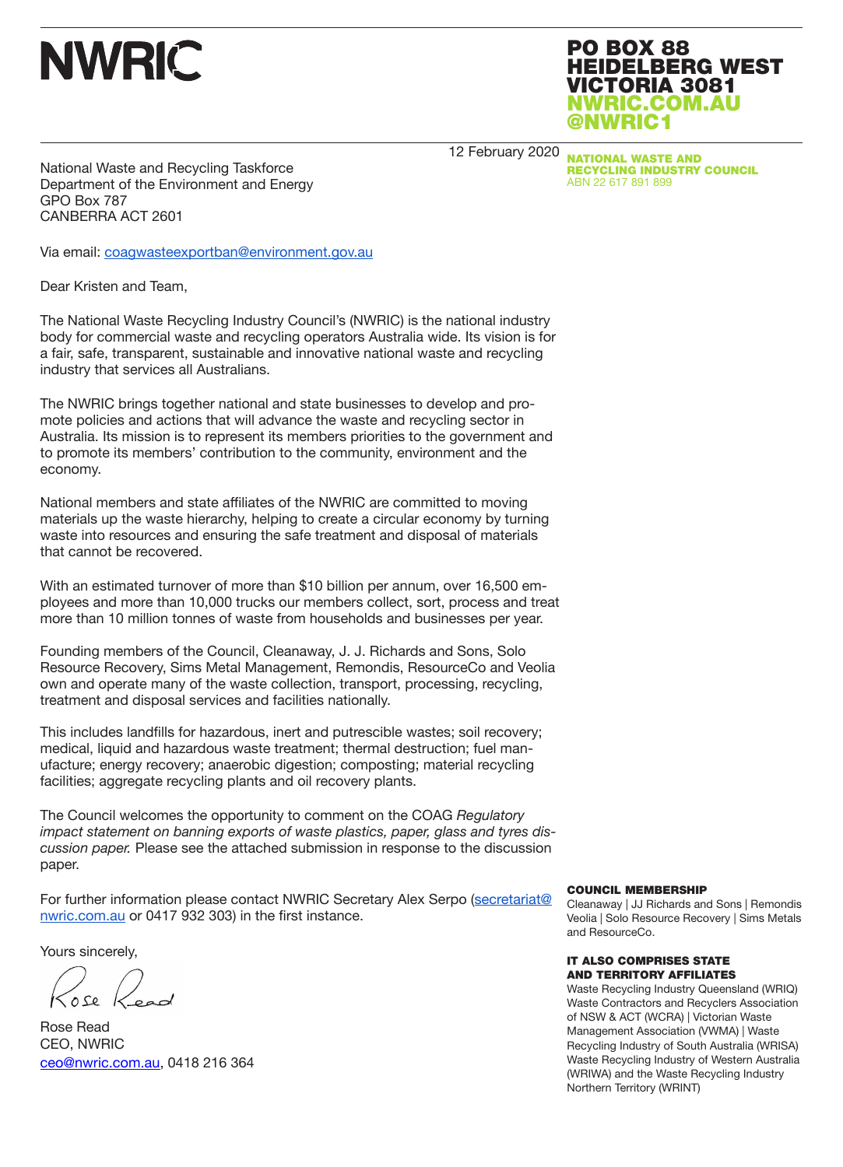

PO BOX 88 HEIDELBERG WEST VICTORIA 3081 NWRIC.COM.AU @NWRIC1

12 February 2020

NATIONAL WASTE AND RECYCLING INDUSTRY COUNCIL ABN 22 617 891 899

National Waste and Recycling Taskforce Department of the Environment and Energy GPO Box 787 CANBERRA ACT 2601

Via email: coagwasteexportban@environment.gov.au

Dear Kristen and Team,

The National Waste Recycling Industry Council's (NWRIC) is the national industry body for commercial waste and recycling operators Australia wide. Its vision is for a fair, safe, transparent, sustainable and innovative national waste and recycling industry that services all Australians.

The NWRIC brings together national and state businesses to develop and promote policies and actions that will advance the waste and recycling sector in Australia. Its mission is to represent its members priorities to the government and to promote its members' contribution to the community, environment and the economy.

National members and state affiliates of the NWRIC are committed to moving materials up the waste hierarchy, helping to create a circular economy by turning waste into resources and ensuring the safe treatment and disposal of materials that cannot be recovered.

With an estimated turnover of more than \$10 billion per annum, over 16,500 employees and more than 10,000 trucks our members collect, sort, process and treat more than 10 million tonnes of waste from households and businesses per year.

Founding members of the Council, Cleanaway, J. J. Richards and Sons, Solo Resource Recovery, Sims Metal Management, Remondis, ResourceCo and Veolia own and operate many of the waste collection, transport, processing, recycling, treatment and disposal services and facilities nationally.

This includes landfills for hazardous, inert and putrescible wastes; soil recovery; medical, liquid and hazardous waste treatment; thermal destruction; fuel manufacture; energy recovery; anaerobic digestion; composting; material recycling facilities; aggregate recycling plants and oil recovery plants.

The Council welcomes the opportunity to comment on the COAG *Regulatory impact statement on banning exports of waste plastics, paper, glass and tyres discussion paper.* Please see the attached submission in response to the discussion paper.

For further information please contact NWRIC Secretary Alex Serpo (secretariat@ nwric.com.au or 0417 932 303) in the first instance.

Yours sincerely,

Rose Read CEO, NWRIC ceo@nwric.com.au, 0418 216 364

#### COUNCIL MEMBERSHIP

Cleanaway | JJ Richards and Sons | Remondis Veolia | Solo Resource Recovery | Sims Metals and ResourceCo.

#### IT ALSO COMPRISES STATE AND TERRITORY AFFILIATES

Waste Recycling Industry Queensland (WRIQ) Waste Contractors and Recyclers Association of NSW & ACT (WCRA) | Victorian Waste Management Association (VWMA) | Waste Recycling Industry of South Australia (WRISA) Waste Recycling Industry of Western Australia (WRIWA) and the Waste Recycling Industry Northern Territory (WRINT)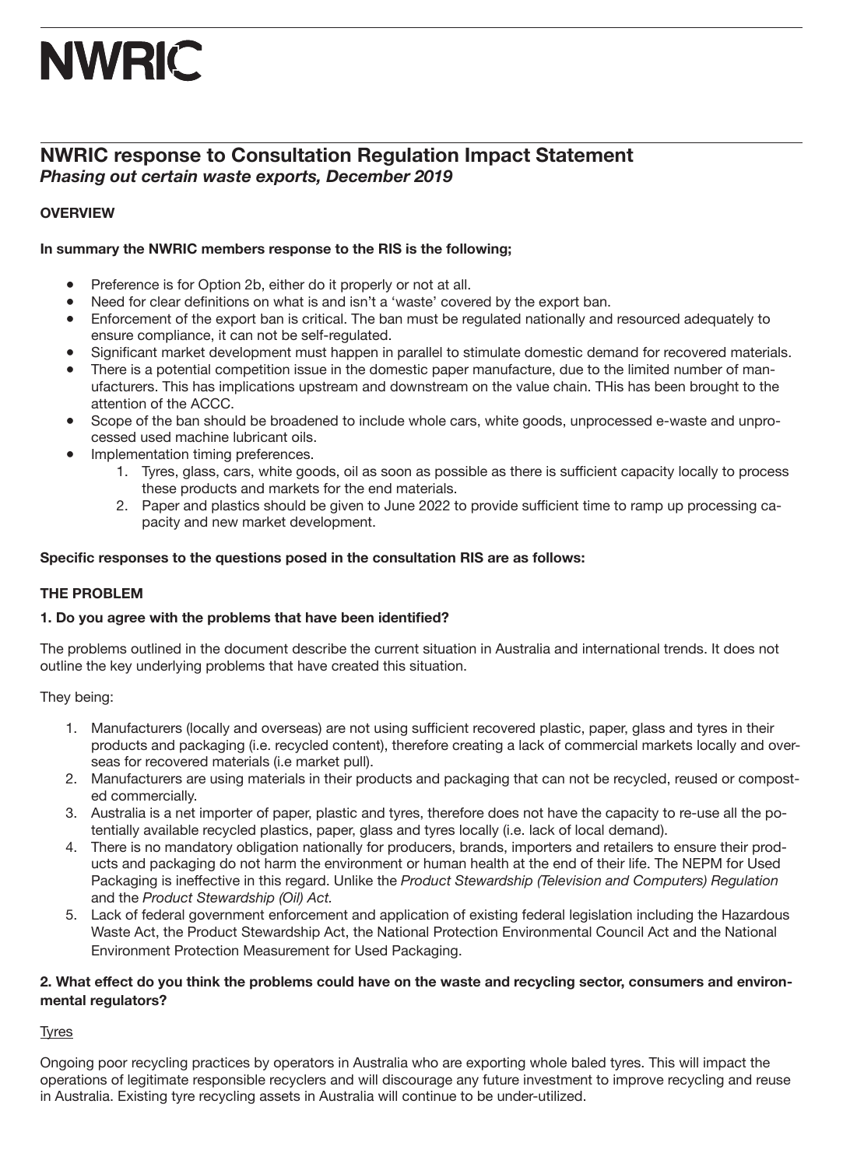## **NWRIC response to Consultation Regulation Impact Statement** *Phasing out certain waste exports, December 2019*

## **OVERVIEW**

## **In summary the NWRIC members response to the RIS is the following;**

- Preference is for Option 2b, either do it properly or not at all.
- Need for clear definitions on what is and isn't a 'waste' covered by the export ban.
- Enforcement of the export ban is critical. The ban must be regulated nationally and resourced adequately to ensure compliance, it can not be self-regulated.
- Significant market development must happen in parallel to stimulate domestic demand for recovered materials.
- There is a potential competition issue in the domestic paper manufacture, due to the limited number of manufacturers. This has implications upstream and downstream on the value chain. THis has been brought to the attention of the ACCC.
- Scope of the ban should be broadened to include whole cars, white goods, unprocessed e-waste and unprocessed used machine lubricant oils.
- Implementation timing preferences.
	- 1. Tyres, glass, cars, white goods, oil as soon as possible as there is sufficient capacity locally to process these products and markets for the end materials.
	- 2. Paper and plastics should be given to June 2022 to provide sufficient time to ramp up processing capacity and new market development.

## **Specific responses to the questions posed in the consultation RIS are as follows:**

## **THE PROBLEM**

## **1. Do you agree with the problems that have been identified?**

The problems outlined in the document describe the current situation in Australia and international trends. It does not outline the key underlying problems that have created this situation.

They being:

- 1. Manufacturers (locally and overseas) are not using sufficient recovered plastic, paper, glass and tyres in their products and packaging (i.e. recycled content), therefore creating a lack of commercial markets locally and overseas for recovered materials (i.e market pull).
- 2. Manufacturers are using materials in their products and packaging that can not be recycled, reused or composted commercially.
- 3. Australia is a net importer of paper, plastic and tyres, therefore does not have the capacity to re-use all the potentially available recycled plastics, paper, glass and tyres locally (i.e. lack of local demand).
- 4. There is no mandatory obligation nationally for producers, brands, importers and retailers to ensure their products and packaging do not harm the environment or human health at the end of their life. The NEPM for Used Packaging is ineffective in this regard. Unlike the *Product Stewardship (Television and Computers) Regulation* and the *Product Stewardship (Oil) Act.*
- 5. Lack of federal government enforcement and application of existing federal legislation including the Hazardous Waste Act, the Product Stewardship Act, the National Protection Environmental Council Act and the National Environment Protection Measurement for Used Packaging.

## **2. What effect do you think the problems could have on the waste and recycling sector, consumers and environmental regulators?**

Tyres

Ongoing poor recycling practices by operators in Australia who are exporting whole baled tyres. This will impact the operations of legitimate responsible recyclers and will discourage any future investment to improve recycling and reuse in Australia. Existing tyre recycling assets in Australia will continue to be under-utilized.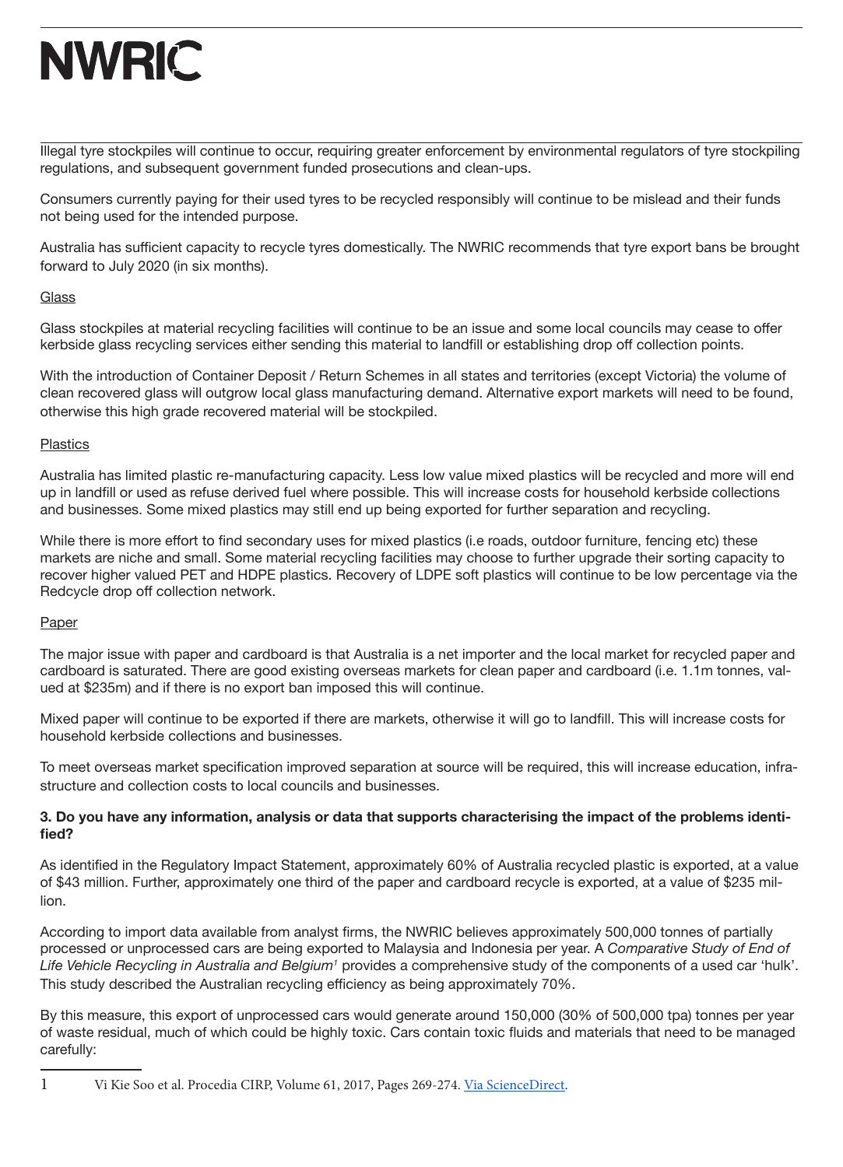Illegal tyre stockpiles will continue to occur, requiring greater enforcement by environmental regulators of tyre stockpiling regulations, and subsequent government funded prosecutions and clean-ups.

Consumers currently paying for their used tyres to be recycled responsibly will continue to be mislead and their funds not being used for the intended purpose.

Australia has sufficient capacity to recycle tyres domestically. The NWRIC recommends that tyre export bans be brought forward to July 2020 (in six months).

#### **Glass**

Glass stockpiles at material recycling facilities will continue to be an issue and some local councils may cease to offer kerbside glass recycling services either sending this material to landfill or establishing drop off collection points.

With the introduction of Container Deposit / Return Schemes in all states and territories (except Victoria) the volume of clean recovered glass will outgrow local glass manufacturing demand. Alternative export markets will need to be found, otherwise this high grade recovered material will be stockpiled.

### **Plastics**

Australia has limited plastic re-manufacturing capacity. Less low value mixed plastics will be recycled and more will end up in landfill or used as refuse derived fuel where possible. This will increase costs for household kerbside collections and businesses. Some mixed plastics may still end up being exported for further separation and recycling.

While there is more effort to find secondary uses for mixed plastics (i.e roads, outdoor furniture, fencing etc) these markets are niche and small. Some material recycling facilities may choose to further upgrade their sorting capacity to recover higher valued PET and HDPE plastics. Recovery of LDPE soft plastics will continue to be low percentage via the Redcycle drop off collection network.

## Paper

The major issue with paper and cardboard is that Australia is a net importer and the local market for recycled paper and cardboard is saturated. There are good existing overseas markets for clean paper and cardboard (i.e. 1.1m tonnes, valued at \$235m) and if there is no export ban imposed this will continue.

Mixed paper will continue to be exported if there are markets, otherwise it will go to landfill. This will increase costs for household kerbside collections and businesses.

To meet overseas market specification improved separation at source will be required, this will increase education, infrastructure and collection costs to local councils and businesses.

### **3. Do you have any information, analysis or data that supports characterising the impact of the problems identified?**

As identified in the Regulatory Impact Statement, approximately 60% of Australia recycled plastic is exported, at a value of \$43 million. Further, approximately one third of the paper and cardboard recycle is exported, at a value of \$235 million.

According to import data available from analyst firms, the NWRIC believes approximately 500,000 tonnes of partially processed or unprocessed cars are being exported to Malaysia and Indonesia per year. A *Comparative Study of End of Life Vehicle Recycling in Australia and Belgium1* provides a comprehensive study of the components of a used car 'hulk'. This study described the Australian recycling efficiency as being approximately 70%.

By this measure, this export of unprocessed cars would generate around 150,000 (30% of 500,000 tpa) tonnes per year of waste residual, much of which could be highly toxic. Cars contain toxic fluids and materials that need to be managed carefully:

<sup>1</sup> Vi Kie Soo et al. Procedia CIRP, Volume 61, 2017, Pages 269-274. Via ScienceDirect.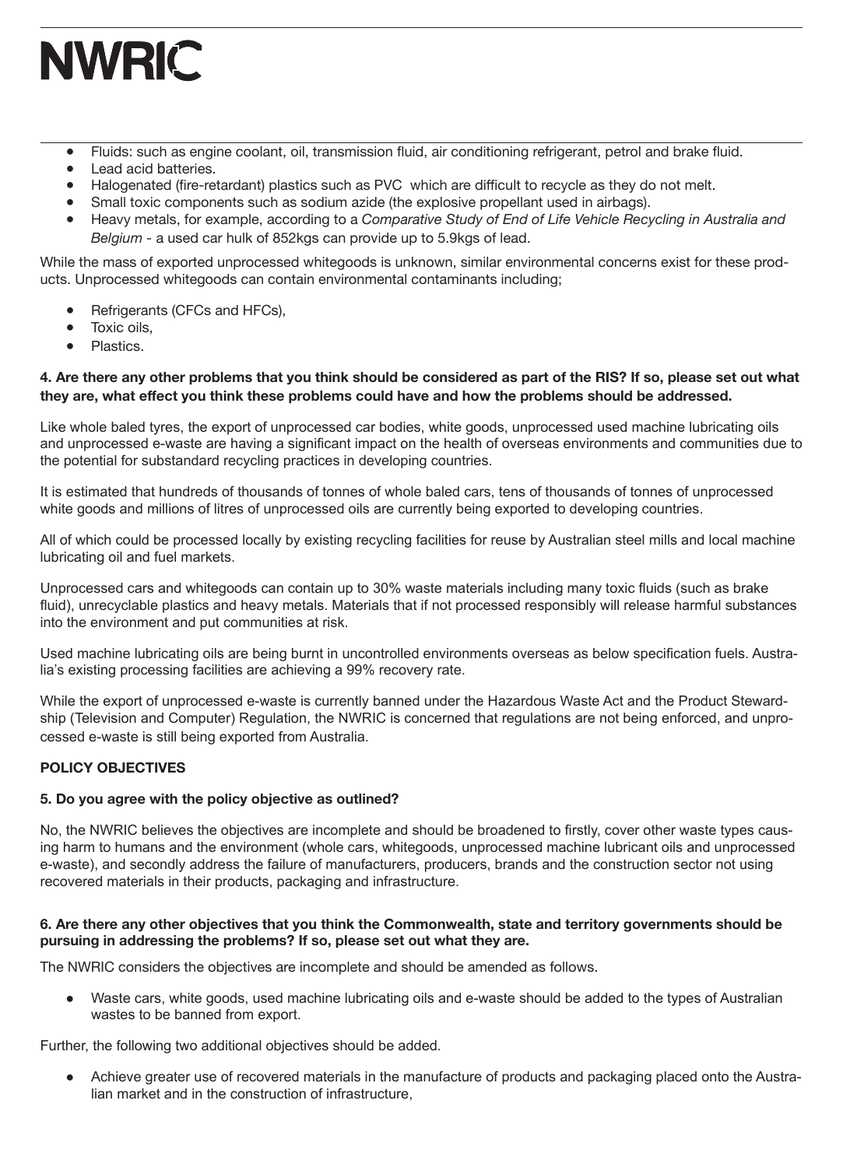- Fluids: such as engine coolant, oil, transmission fluid, air conditioning refrigerant, petrol and brake fluid.
- Lead acid batteries.
- Halogenated (fire-retardant) plastics such as PVC which are difficult to recycle as they do not melt.
- Small toxic components such as sodium azide (the explosive propellant used in airbags).
- Heavy metals, for example, according to a *Comparative Study of End of Life Vehicle Recycling in Australia and Belgium -* a used car hulk of 852kgs can provide up to 5.9kgs of lead.

While the mass of exported unprocessed whitegoods is unknown, similar environmental concerns exist for these products. Unprocessed whitegoods can contain environmental contaminants including;

- Refrigerants (CFCs and HFCs),
- Toxic oils.
- Plastics.

### **4. Are there any other problems that you think should be considered as part of the RIS? If so, please set out what they are, what effect you think these problems could have and how the problems should be addressed.**

Like whole baled tyres, the export of unprocessed car bodies, white goods, unprocessed used machine lubricating oils and unprocessed e-waste are having a significant impact on the health of overseas environments and communities due to the potential for substandard recycling practices in developing countries.

It is estimated that hundreds of thousands of tonnes of whole baled cars, tens of thousands of tonnes of unprocessed white goods and millions of litres of unprocessed oils are currently being exported to developing countries.

All of which could be processed locally by existing recycling facilities for reuse by Australian steel mills and local machine lubricating oil and fuel markets.

Unprocessed cars and whitegoods can contain up to 30% waste materials including many toxic fluids (such as brake fluid), unrecyclable plastics and heavy metals. Materials that if not processed responsibly will release harmful substances into the environment and put communities at risk.

Used machine lubricating oils are being burnt in uncontrolled environments overseas as below specification fuels. Australia's existing processing facilities are achieving a 99% recovery rate.

While the export of unprocessed e-waste is currently banned under the Hazardous Waste Act and the Product Stewardship (Television and Computer) Regulation, the NWRIC is concerned that regulations are not being enforced, and unprocessed e-waste is still being exported from Australia.

## **POLICY OBJECTIVES**

## **5. Do you agree with the policy objective as outlined?**

No, the NWRIC believes the objectives are incomplete and should be broadened to firstly, cover other waste types causing harm to humans and the environment (whole cars, whitegoods, unprocessed machine lubricant oils and unprocessed e-waste), and secondly address the failure of manufacturers, producers, brands and the construction sector not using recovered materials in their products, packaging and infrastructure.

### **6. Are there any other objectives that you think the Commonwealth, state and territory governments should be pursuing in addressing the problems? If so, please set out what they are.**

The NWRIC considers the objectives are incomplete and should be amended as follows.

● Waste cars, white goods, used machine lubricating oils and e-waste should be added to the types of Australian wastes to be banned from export.

Further, the following two additional objectives should be added.

Achieve greater use of recovered materials in the manufacture of products and packaging placed onto the Australian market and in the construction of infrastructure,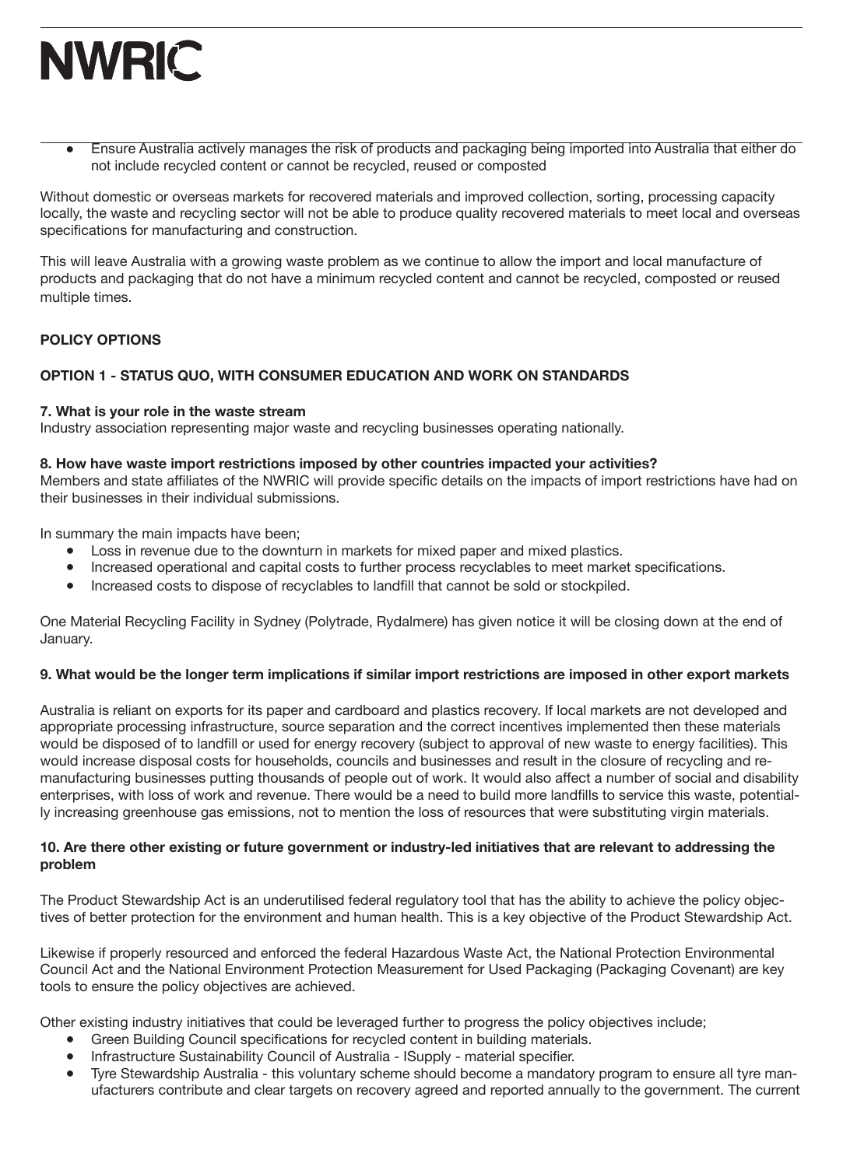● Ensure Australia actively manages the risk of products and packaging being imported into Australia that either do not include recycled content or cannot be recycled, reused or composted

Without domestic or overseas markets for recovered materials and improved collection, sorting, processing capacity locally, the waste and recycling sector will not be able to produce quality recovered materials to meet local and overseas specifications for manufacturing and construction.

This will leave Australia with a growing waste problem as we continue to allow the import and local manufacture of products and packaging that do not have a minimum recycled content and cannot be recycled, composted or reused multiple times.

### **POLICY OPTIONS**

## **OPTION 1 - STATUS QUO, WITH CONSUMER EDUCATION AND WORK ON STANDARDS**

#### **7. What is your role in the waste stream**

Industry association representing major waste and recycling businesses operating nationally.

#### **8. How have waste import restrictions imposed by other countries impacted your activities?**

Members and state affiliates of the NWRIC will provide specific details on the impacts of import restrictions have had on their businesses in their individual submissions.

In summary the main impacts have been;

- Loss in revenue due to the downturn in markets for mixed paper and mixed plastics.
- Increased operational and capital costs to further process recyclables to meet market specifications.
- Increased costs to dispose of recyclables to landfill that cannot be sold or stockpiled.

One Material Recycling Facility in Sydney (Polytrade, Rydalmere) has given notice it will be closing down at the end of January.

#### **9. What would be the longer term implications if similar import restrictions are imposed in other export markets**

Australia is reliant on exports for its paper and cardboard and plastics recovery. If local markets are not developed and appropriate processing infrastructure, source separation and the correct incentives implemented then these materials would be disposed of to landfill or used for energy recovery (subject to approval of new waste to energy facilities). This would increase disposal costs for households, councils and businesses and result in the closure of recycling and remanufacturing businesses putting thousands of people out of work. It would also affect a number of social and disability enterprises, with loss of work and revenue. There would be a need to build more landfills to service this waste, potentially increasing greenhouse gas emissions, not to mention the loss of resources that were substituting virgin materials.

#### **10. Are there other existing or future government or industry-led initiatives that are relevant to addressing the problem**

The Product Stewardship Act is an underutilised federal regulatory tool that has the ability to achieve the policy objectives of better protection for the environment and human health. This is a key objective of the Product Stewardship Act.

Likewise if properly resourced and enforced the federal Hazardous Waste Act, the National Protection Environmental Council Act and the National Environment Protection Measurement for Used Packaging (Packaging Covenant) are key tools to ensure the policy objectives are achieved.

Other existing industry initiatives that could be leveraged further to progress the policy objectives include;

- Green Building Council specifications for recycled content in building materials.
- Infrastructure Sustainability Council of Australia ISupply material specifier.
- Tyre Stewardship Australia this voluntary scheme should become a mandatory program to ensure all tyre manufacturers contribute and clear targets on recovery agreed and reported annually to the government. The current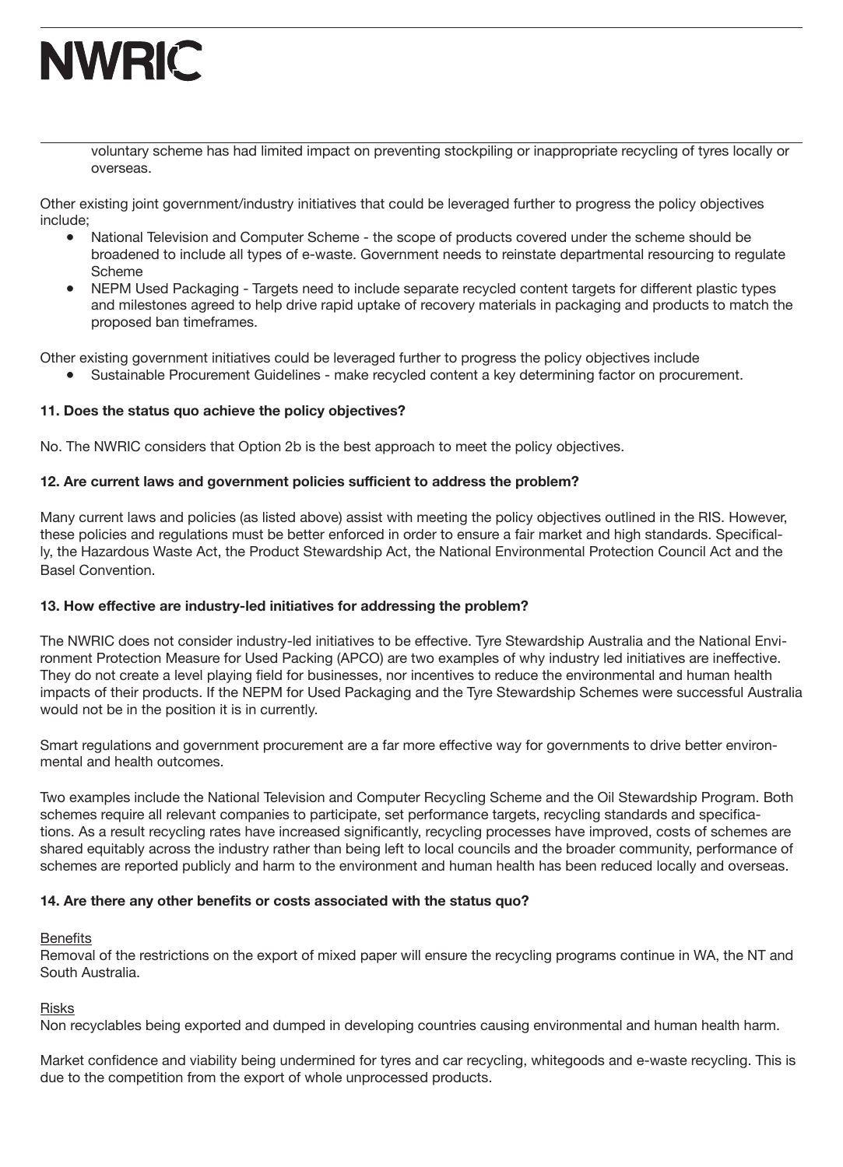

voluntary scheme has had limited impact on preventing stockpiling or inappropriate recycling of tyres locally or overseas.

Other existing joint government/industry initiatives that could be leveraged further to progress the policy objectives include;

- National Television and Computer Scheme the scope of products covered under the scheme should be broadened to include all types of e-waste. Government needs to reinstate departmental resourcing to regulate Scheme
- NEPM Used Packaging Targets need to include separate recycled content targets for different plastic types and milestones agreed to help drive rapid uptake of recovery materials in packaging and products to match the proposed ban timeframes.

Other existing government initiatives could be leveraged further to progress the policy objectives include

● Sustainable Procurement Guidelines - make recycled content a key determining factor on procurement.

#### **11. Does the status quo achieve the policy objectives?**

No. The NWRIC considers that Option 2b is the best approach to meet the policy objectives.

#### **12. Are current laws and government policies sufficient to address the problem?**

Many current laws and policies (as listed above) assist with meeting the policy objectives outlined in the RIS. However, these policies and regulations must be better enforced in order to ensure a fair market and high standards. Specifically, the Hazardous Waste Act, the Product Stewardship Act, the National Environmental Protection Council Act and the Basel Convention.

#### **13. How effective are industry-led initiatives for addressing the problem?**

The NWRIC does not consider industry-led initiatives to be effective. Tyre Stewardship Australia and the National Environment Protection Measure for Used Packing (APCO) are two examples of why industry led initiatives are ineffective. They do not create a level playing field for businesses, nor incentives to reduce the environmental and human health impacts of their products. If the NEPM for Used Packaging and the Tyre Stewardship Schemes were successful Australia would not be in the position it is in currently.

Smart regulations and government procurement are a far more effective way for governments to drive better environmental and health outcomes.

Two examples include the National Television and Computer Recycling Scheme and the Oil Stewardship Program. Both schemes require all relevant companies to participate, set performance targets, recycling standards and specifications. As a result recycling rates have increased significantly, recycling processes have improved, costs of schemes are shared equitably across the industry rather than being left to local councils and the broader community, performance of schemes are reported publicly and harm to the environment and human health has been reduced locally and overseas.

#### **14. Are there any other benefits or costs associated with the status quo?**

## **Benefits**

Removal of the restrictions on the export of mixed paper will ensure the recycling programs continue in WA, the NT and South Australia.

#### Risks

Non recyclables being exported and dumped in developing countries causing environmental and human health harm.

Market confidence and viability being undermined for tyres and car recycling, whitegoods and e-waste recycling. This is due to the competition from the export of whole unprocessed products.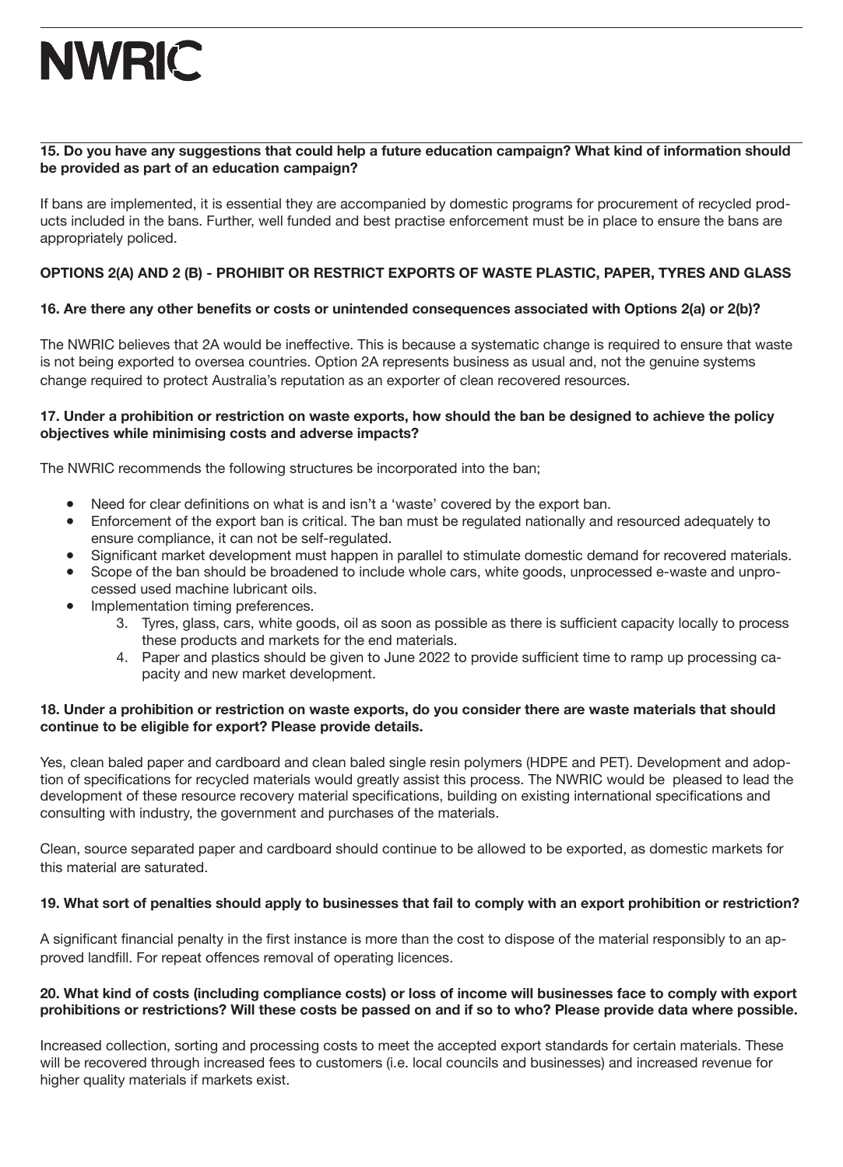### **15. Do you have any suggestions that could help a future education campaign? What kind of information should be provided as part of an education campaign?**

If bans are implemented, it is essential they are accompanied by domestic programs for procurement of recycled products included in the bans. Further, well funded and best practise enforcement must be in place to ensure the bans are appropriately policed.

## **OPTIONS 2(A) AND 2 (B) - PROHIBIT OR RESTRICT EXPORTS OF WASTE PLASTIC, PAPER, TYRES AND GLASS**

## **16. Are there any other benefits or costs or unintended consequences associated with Options 2(a) or 2(b)?**

The NWRIC believes that 2A would be ineffective. This is because a systematic change is required to ensure that waste is not being exported to oversea countries. Option 2A represents business as usual and, not the genuine systems change required to protect Australia's reputation as an exporter of clean recovered resources.

### **17. Under a prohibition or restriction on waste exports, how should the ban be designed to achieve the policy objectives while minimising costs and adverse impacts?**

The NWRIC recommends the following structures be incorporated into the ban;

- Need for clear definitions on what is and isn't a 'waste' covered by the export ban.
- Enforcement of the export ban is critical. The ban must be regulated nationally and resourced adequately to ensure compliance, it can not be self-regulated.
- Significant market development must happen in parallel to stimulate domestic demand for recovered materials.
- Scope of the ban should be broadened to include whole cars, white goods, unprocessed e-waste and unpro-
- cessed used machine lubricant oils. Implementation timing preferences.
	- 3. Tyres, glass, cars, white goods, oil as soon as possible as there is sufficient capacity locally to process these products and markets for the end materials.
	- 4. Paper and plastics should be given to June 2022 to provide sufficient time to ramp up processing capacity and new market development.

### **18. Under a prohibition or restriction on waste exports, do you consider there are waste materials that should continue to be eligible for export? Please provide details.**

Yes, clean baled paper and cardboard and clean baled single resin polymers (HDPE and PET). Development and adoption of specifications for recycled materials would greatly assist this process. The NWRIC would be pleased to lead the development of these resource recovery material specifications, building on existing international specifications and consulting with industry, the government and purchases of the materials.

Clean, source separated paper and cardboard should continue to be allowed to be exported, as domestic markets for this material are saturated.

## **19. What sort of penalties should apply to businesses that fail to comply with an export prohibition or restriction?**

A significant financial penalty in the first instance is more than the cost to dispose of the material responsibly to an approved landfill. For repeat offences removal of operating licences.

### **20. What kind of costs (including compliance costs) or loss of income will businesses face to comply with export prohibitions or restrictions? Will these costs be passed on and if so to who? Please provide data where possible.**

Increased collection, sorting and processing costs to meet the accepted export standards for certain materials. These will be recovered through increased fees to customers (i.e. local councils and businesses) and increased revenue for higher quality materials if markets exist.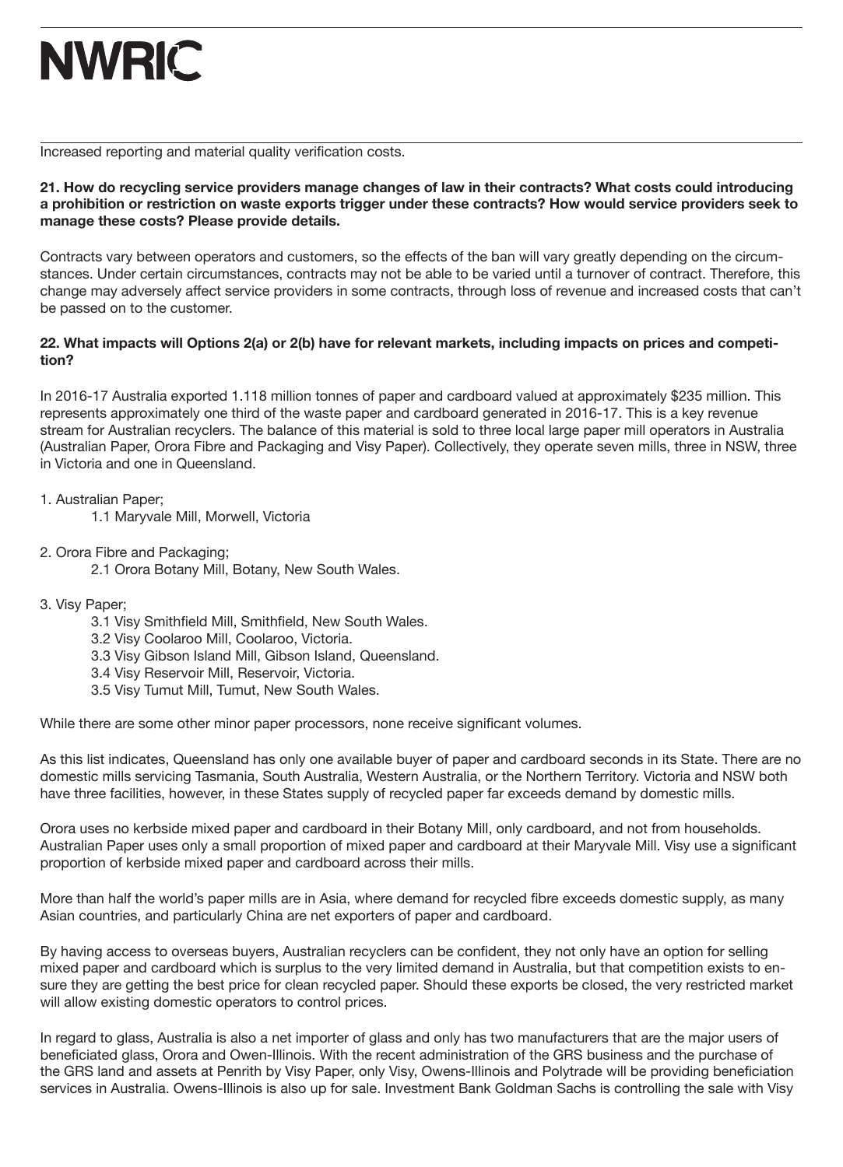Increased reporting and material quality verification costs.

**21. How do recycling service providers manage changes of law in their contracts? What costs could introducing a prohibition or restriction on waste exports trigger under these contracts? How would service providers seek to manage these costs? Please provide details.**

Contracts vary between operators and customers, so the effects of the ban will vary greatly depending on the circumstances. Under certain circumstances, contracts may not be able to be varied until a turnover of contract. Therefore, this change may adversely affect service providers in some contracts, through loss of revenue and increased costs that can't be passed on to the customer.

### **22. What impacts will Options 2(a) or 2(b) have for relevant markets, including impacts on prices and competition?**

In 2016-17 Australia exported 1.118 million tonnes of paper and cardboard valued at approximately \$235 million. This represents approximately one third of the waste paper and cardboard generated in 2016-17. This is a key revenue stream for Australian recyclers. The balance of this material is sold to three local large paper mill operators in Australia (Australian Paper, Orora Fibre and Packaging and Visy Paper). Collectively, they operate seven mills, three in NSW, three in Victoria and one in Queensland.

1. Australian Paper;

1.1 Maryvale Mill, Morwell, Victoria

2. Orora Fibre and Packaging;

2.1 Orora Botany Mill, Botany, New South Wales.

- 3. Visy Paper;
	- 3.1 Visy Smithfield Mill, Smithfield, New South Wales.
	- 3.2 Visy Coolaroo Mill, Coolaroo, Victoria.
	- 3.3 Visy Gibson Island Mill, Gibson Island, Queensland.
	- 3.4 Visy Reservoir Mill, Reservoir, Victoria.
	- 3.5 Visy Tumut Mill, Tumut, New South Wales.

While there are some other minor paper processors, none receive significant volumes.

As this list indicates, Queensland has only one available buyer of paper and cardboard seconds in its State. There are no domestic mills servicing Tasmania, South Australia, Western Australia, or the Northern Territory. Victoria and NSW both have three facilities, however, in these States supply of recycled paper far exceeds demand by domestic mills.

Orora uses no kerbside mixed paper and cardboard in their Botany Mill, only cardboard, and not from households. Australian Paper uses only a small proportion of mixed paper and cardboard at their Maryvale Mill. Visy use a significant proportion of kerbside mixed paper and cardboard across their mills.

More than half the world's paper mills are in Asia, where demand for recycled fibre exceeds domestic supply, as many Asian countries, and particularly China are net exporters of paper and cardboard.

By having access to overseas buyers, Australian recyclers can be confident, they not only have an option for selling mixed paper and cardboard which is surplus to the very limited demand in Australia, but that competition exists to ensure they are getting the best price for clean recycled paper. Should these exports be closed, the very restricted market will allow existing domestic operators to control prices.

In regard to glass, Australia is also a net importer of glass and only has two manufacturers that are the major users of beneficiated glass, Orora and Owen-Illinois. With the recent administration of the GRS business and the purchase of the GRS land and assets at Penrith by Visy Paper, only Visy, Owens-Illinois and Polytrade will be providing beneficiation services in Australia. Owens-Illinois is also up for sale. Investment Bank Goldman Sachs is controlling the sale with Visy